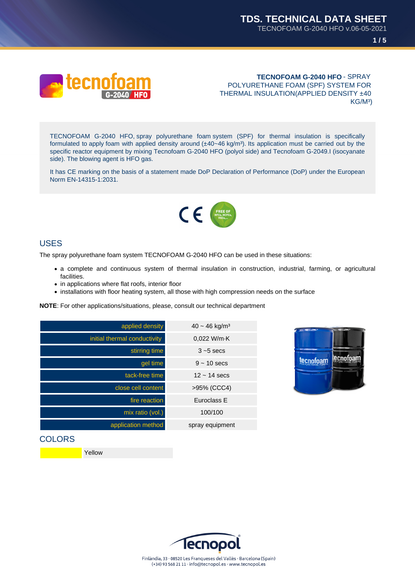



**TECNOFOAM G-2040 HFO** - SPRAY POLYURETHANE FOAM (SPF) SYSTEM FOR THERMAL INSULATION(APPLIED DENSITY ±40 KG/M³)

TECNOFOAM G-2040 HFO, spray polyurethane foam system (SPF) for thermal insulation is specifically formulated to apply foam with applied density around  $(\pm 40 \times 46 \text{ kg/m}^3)$ . Its application must be carried out by the specific reactor equipment by mixing Tecnofoam G-2040 HFO (polyol side) and Tecnofoam G-2049.I (isocyanate side). The blowing agent is HFO gas.

It has CE marking on the basis of a statement made DoP Declaration of Performance (DoP) under the European Norm EN-14315-1:2031.



#### USES

The spray polyurethane foam system TECNOFOAM G-2040 HFO can be used in these situations:

- a complete and continuous system of thermal insulation in construction, industrial, farming, or agricultural facilities.
- in applications where flat roofs, interior floor
- installations with floor heating system, all those with high compression needs on the surface

**NOTE**: For other applications/situations, please, consult our technical department

| applied density              | $40 \sim 46$ kg/m <sup>3</sup> |
|------------------------------|--------------------------------|
| initial thermal conductivity | $0.022$ W/m $\cdot$ K          |
| stirring time                | $3 - 5$ secs                   |
| gel time                     | $9 - 10$ secs                  |
| tack-free time               | $12 \sim 14$ secs              |
| close cell content           | >95% (CCC4)                    |
| fire reaction                | Euroclass E                    |
| mix ratio (vol.)             | 100/100                        |
| application method           | spray equipment                |



#### **COLORS**

Yellow

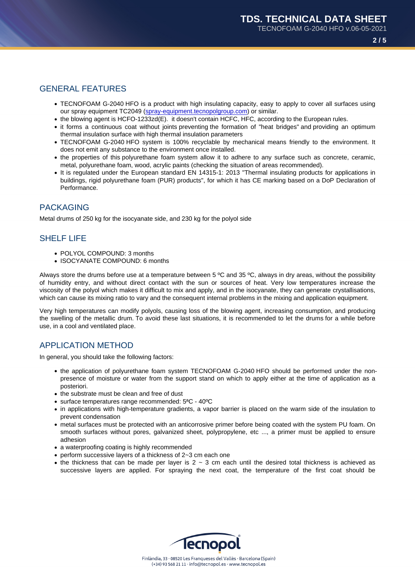# GENERAL FEATURES

- TECNOFOAM G-2040 HFO is a product with high insulating capacity, easy to apply to cover all surfaces using our spray equipment TC2049 (spray-equipment.tecnopolgroup.com) or similar.
- the blowing agent is HCFO-1233zd(E). it doesn't contain HCFC, HFC, according to the European rules.
- it forms a continuous coat without joints preventing the formation of "heat bridges" and providing an optimum thermal insulation surface with high thermal insulation parameters
- TECNOFOAM G-2040 HFO s[ystem is 100% recyclable by mech](http://spray-equipment.tecnopolgroup.com)anical means friendly to the environment. It does not emit any substance to the environment once installed.
- the properties of this polyurethane foam system allow it to adhere to any surface such as concrete, ceramic, metal, polyurethane foam, wood, acrylic paints (checking the situation of areas recommended).
- It is regulated under the European standard EN 14315-1: 2013 "Thermal insulating products for applications in buildings, rigid polyurethane foam (PUR) products", for which it has CE marking based on a DoP Declaration of Performance.

## PACKAGING

Metal drums of 250 kg for the isocyanate side, and 230 kg for the polyol side

# SHELF LIFE

- POLYOL COMPOUND: 3 months
- ISOCYANATE COMPOUND: 6 months

Always store the drums before use at a temperature between 5 ºC and 35 ºC, always in dry areas, without the possibility of humidity entry, and without direct contact with the sun or sources of heat. Very low temperatures increase the viscosity of the polyol which makes it difficult to mix and apply, and in the isocyanate, they can generate crystallisations, which can cause its mixing ratio to vary and the consequent internal problems in the mixing and application equipment.

Very high temperatures can modify polyols, causing loss of the blowing agent, increasing consumption, and producing the swelling of the metallic drum. To avoid these last situations, it is recommended to let the drums for a while before use, in a cool and ventilated place.

## APPLICATION METHOD

In general, you should take the following factors:

- the application of polyurethane foam system TECNOFOAM G-2040 HFO should be performed under the nonpresence of moisture or water from the support stand on which to apply either at the time of application as a posteriori.
- the substrate must be clean and free of dust
- surface temperatures range recommended: 5ªC 40ºC
- in applications with high-temperature gradients, a vapor barrier is placed on the warm side of the insulation to prevent condensation
- metal surfaces must be protected with an anticorrosive primer before being coated with the system PU foam. On smooth surfaces without pores, galvanized sheet, polypropylene, etc ..., a primer must be applied to ensure adhesion
- a waterproofing coating is highly recommended
- perform successive layers of a thickness of 2~3 cm each one
- the thickness that can be made per layer is  $2 \sim 3$  cm each until the desired total thickness is achieved as successive layers are applied. For spraying the next coat, the temperature of the first coat should be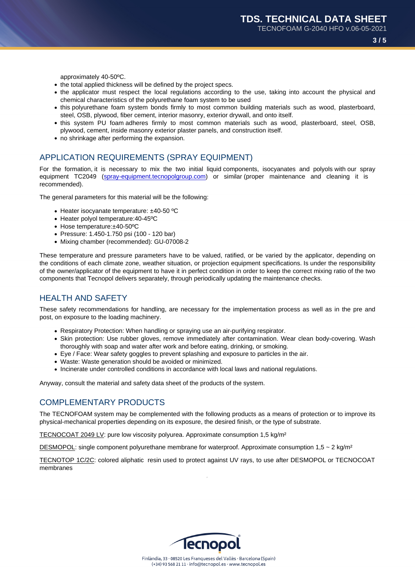approximately 40-50ºC.

- the total applied thickness will be defined by the project specs.
- the applicator must respect the local regulations according to the use, taking into account the physical and chemical characteristics of the polyurethane foam system to be used
- this polyurethane foam system bonds firmly to most common building materials such as wood, plasterboard, steel, OSB, plywood, fiber cement, interior masonry, exterior drywall, and onto itself.
- this system PU foam adheres firmly to most common materials such as wood, plasterboard, steel, OSB, plywood, cement, inside masonry exterior plaster panels, and construction itself.
- no shrinkage after performing the expansion.

# APPLICATION REQUIREMENTS (SPRAY EQUIPMENT)

For the formation, it is necessary to mix the two initial liquid components, isocyanates and polyols with our spray equipment TC2049 (spray-equipment.tecnopolgroup.com) or similar (proper maintenance and cleaning it is recommended).

The general parameters for this material will be the following:

- Heater isocyan[ate temperature: ±40-50 ºC](http://spray-equipment.tecnopolgroup.com)
- Heater polyol temperature:40-45ºC
- Hose temperature:±40-50ºC
- Pressure: 1.450-1.750 psi (100 120 bar)
- Mixing chamber (recommended): GU-07008-2

These temperature and pressure parameters have to be valued, ratified, or be varied by the applicator, depending on the conditions of each climate zone, weather situation, or projection equipment specifications. Is under the responsibility of the owner/applicator of the equipment to have it in perfect condition in order to keep the correct mixing ratio of the two components that Tecnopol delivers separately, through periodically updating the maintenance checks.

#### HEALTH AND SAFETY

These safety recommendations for handling, are necessary for the implementation process as well as in the pre and post, on exposure to the loading machinery.

- Respiratory Protection: When handling or spraying use an air-purifying respirator.
- Skin protection: Use rubber gloves, remove immediately after contamination. Wear clean body-covering. Wash thoroughly with soap and water after work and before eating, drinking, or smoking.
- Eye / Face: Wear safety goggles to prevent splashing and exposure to particles in the air.
- Waste: Waste generation should be avoided or minimized.
- Incinerate under controlled conditions in accordance with local laws and national regulations.

Anyway, consult the material and safety data sheet of the products of the system.

## COMPLEMENTARY PRODUCTS

The TECNOFOAM system may be complemented with the following products as a means of protection or to improve its physical-mechanical properties depending on its exposure, the desired finish, or the type of substrate.

TECNOCOAT 2049 LV: pure low viscosity polyurea. Approximate consumption 1,5 kg/m²

DESMOPOL: single component polyurethane membrane for waterproof. Approximate consumption  $1,5 \sim 2$  kg/m<sup>2</sup>

TECNOTOP 1C/2C: colored aliphatic resin used to protect against UV rays, to use after DESMOPOL or TECNOCOAT membranes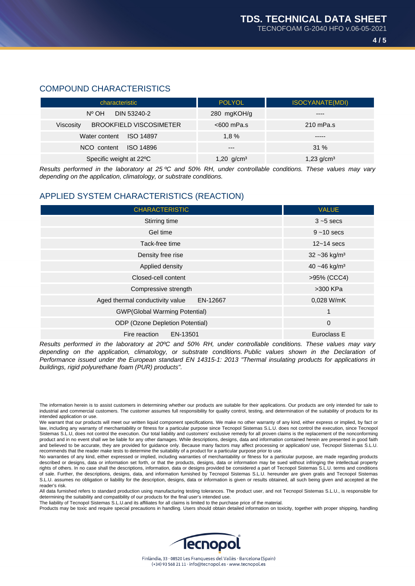## COMPOUND CHARACTERISTICS

| characteristic                              | <b>POLYOL</b>   | <b>ISOCYANATE(MDI)</b> |
|---------------------------------------------|-----------------|------------------------|
| $N^{\circ}$ OH<br>DIN 53240-2               | 280 mgKOH/g     |                        |
| <b>BROOKFIELD VISCOSIMETER</b><br>Viscosity | $<600$ mPa.s    | $210$ mPa.s            |
| Water content<br><b>ISO 14897</b>           | $1.8\%$         | -----                  |
| <b>ISO 14896</b><br>NCO content             | $---$           | $31\%$                 |
| Specific weight at 22°C                     | 1,20 $g/cm^{3}$ | 1,23 $g/cm3$           |

Results performed in the laboratory at 25 ºC and 50% RH, under controllable conditions. These values may vary depending on the application, climatology, or substrate conditions.

## APPLIED SYSTEM CHARACTERISTICS (REACTION)

| <b>CHARACTERISTIC</b>                       | <b>VALUE</b>                |
|---------------------------------------------|-----------------------------|
| Stirring time                               | $3 - 5$ secs                |
| Gel time                                    | $9 - 10$ secs               |
| Tack-free time                              | $12 - 14$ secs              |
| Density free rise                           | $32 - 36$ kg/m <sup>3</sup> |
| Applied density                             | 40 ~46 kg/m <sup>3</sup>    |
| Closed-cell content                         | >95% (CCC4)                 |
| Compressive strength                        | >300 KPa                    |
| Aged thermal conductivity value<br>EN-12667 | 0.028 W/mK                  |
| <b>GWP(Global Warming Potential)</b>        | 1                           |
| <b>ODP</b> (Ozone Depletion Potential)      | $\mathbf 0$                 |
| Fire reaction<br>EN-13501                   | Euroclass E                 |

Results performed in the laboratory at 20ºC and 50% RH, under controllable conditions. These values may vary depending on the application, climatology, or substrate conditions. Public values shown in the Declaration of Performance issued under the European standard EN 14315-1: 2013 "Thermal insulating products for applications in buildings, rigid polyurethane foam (PUR) products".

The liability of Tecnopol Sistemas S.L.U.and its affiliates for all claims is limited to the purchase price of the material.

Products may be toxic and require special precautions in handling. Users should obtain detailed information on toxicity, together with proper shipping, handling



The information herein is to assist customers in determining whether our products are suitable for their applications. Our products are only intended for sale to industrial and commercial customers. The customer assumes full responsibility for quality control, testing, and determination of the suitability of products for its intended application or use.

We warrant that our products will meet our written liquid component specifications. We make no other warranty of any kind, either express or implied, by fact or law, including any warranty of merchantability or fitness for a particular purpose since Tecnopol Sistemas S.L.U. does not control the execution, since Tecnopol Sistemas S.L.U, does not control the execution. Our total liability and customers' exclusive remedy for all proven claims is the replacement of the nonconforming product and in no event shall we be liable for any other damages. While descriptions, designs, data and information contained herein are presented in good faith and believed to be accurate, they are provided for guidance only. Because many factors may affect processing or application/ use, Tecnopol Sistemas S.L.U. recommends that the reader make tests to determine the suitability of a product for a particular purpose prior to use.

No warranties of any kind, either expressed or implied, including warranties of merchantability or fitness for a particular purpose, are made regarding products described or designs, data or information set forth, or that the products, designs, data or information may be sued without infringing the intellectual property rights of others. In no case shall the descriptions, information, data or designs provided be considered a part of Tecnopol Sistemas S.L.U. terms and conditions of sale. Further, the descriptions, designs, data, and information furnished by Tecnopol Sistemas S.L.U. hereunder are given gratis and Tecnopol Sistemas S.L.U. assumes no obligation or liability for the description, designs, data or information is given or results obtained, all such being given and accepted at the reader's risk.

All data furnished refers to standard production using manufacturing testing tolerances. The product user, and not Tecnopol Sistemas S.L.U., is responsible for determining the suitability and compatibility of our products for the final user's intended use.